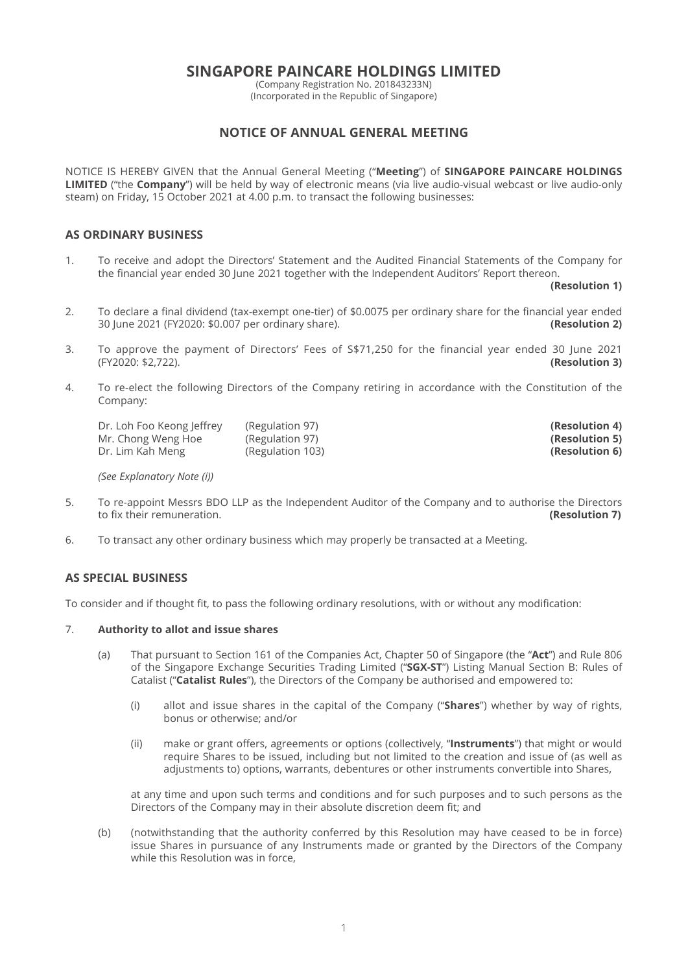# **SINGAPORE PAINCARE HOLDINGS LIMITED**

(Company Registration No. 201843233N) (Incorporated in the Republic of Singapore)

# **NOTICE OF ANNUAL GENERAL MEETING**

NOTICE IS HEREBY GIVEN that the Annual General Meeting ("**Meeting**") of **SINGAPORE PAINCARE HOLDINGS LIMITED** ("the **Company**") will be held by way of electronic means (via live audio-visual webcast or live audio-only steam) on Friday, 15 October 2021 at 4.00 p.m. to transact the following businesses:

## **AS ORDINARY BUSINESS**

1. To receive and adopt the Directors' Statement and the Audited Financial Statements of the Company for the financial year ended 30 June 2021 together with the Independent Auditors' Report thereon.

**(Resolution 1)**

- 2. To declare a final dividend (tax-exempt one-tier) of \$0.0075 per ordinary share for the financial year ended 30 June 2021 (FY2020: \$0.007 per ordinary share). **(Resolution 2)**
- 3. To approve the payment of Directors' Fees of \$\$71,250 for the financial year ended 30 June 2021 (FY2020: \$2,722). **(Resolution 3)**
- 4. To re-elect the following Directors of the Company retiring in accordance with the Constitution of the Company:

 Dr. Loh Foo Keong Jeff rey (Regulation 97) **(Resolution 4)** Mr. Chong Weng Hoe (Regulation 97) **(Resolution 5) (Resolution 5) (Resolution 5) (Resolution 6) (Resolution 6)** (Regulation 103)

*(See Explanatory Note (i))*

- 5. To re-appoint Messrs BDO LLP as the Independent Auditor of the Company and to authorise the Directors to fix their remuneration. **(Resolution 7)** to fix their remuneration.
- 6. To transact any other ordinary business which may properly be transacted at a Meeting.

## **AS SPECIAL BUSINESS**

To consider and if thought fit, to pass the following ordinary resolutions, with or without any modification:

## 7. **Authority to allot and issue shares**

- (a) That pursuant to Section 161 of the Companies Act, Chapter 50 of Singapore (the "**Act**") and Rule 806 of the Singapore Exchange Securities Trading Limited ("**SGX-ST**") Listing Manual Section B: Rules of Catalist ("**Catalist Rules**"), the Directors of the Company be authorised and empowered to:
	- (i) allot and issue shares in the capital of the Company ("**Shares**") whether by way of rights, bonus or otherwise; and/or
	- (ii) make or grant offers, agreements or options (collectively, "**Instruments**") that might or would require Shares to be issued, including but not limited to the creation and issue of (as well as adjustments to) options, warrants, debentures or other instruments convertible into Shares,

 at any time and upon such terms and conditions and for such purposes and to such persons as the Directors of the Company may in their absolute discretion deem fit; and

 (b) (notwithstanding that the authority conferred by this Resolution may have ceased to be in force) issue Shares in pursuance of any Instruments made or granted by the Directors of the Company while this Resolution was in force,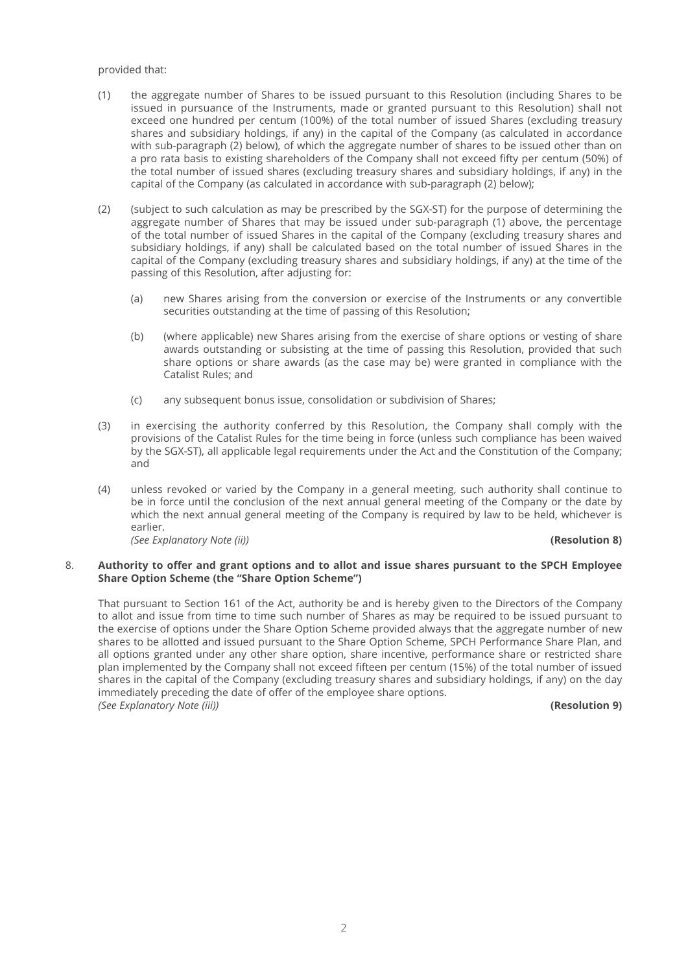### provided that:

- (1) the aggregate number of Shares to be issued pursuant to this Resolution (including Shares to be issued in pursuance of the Instruments, made or granted pursuant to this Resolution) shall not exceed one hundred per centum (100%) of the total number of issued Shares (excluding treasury shares and subsidiary holdings, if any) in the capital of the Company (as calculated in accordance with sub-paragraph (2) below), of which the aggregate number of shares to be issued other than on a pro rata basis to existing shareholders of the Company shall not exceed fifty per centum (50%) of the total number of issued shares (excluding treasury shares and subsidiary holdings, if any) in the capital of the Company (as calculated in accordance with sub-paragraph (2) below);
- (2) (subject to such calculation as may be prescribed by the SGX-ST) for the purpose of determining the aggregate number of Shares that may be issued under sub-paragraph (1) above, the percentage of the total number of issued Shares in the capital of the Company (excluding treasury shares and subsidiary holdings, if any) shall be calculated based on the total number of issued Shares in the capital of the Company (excluding treasury shares and subsidiary holdings, if any) at the time of the passing of this Resolution, after adjusting for:
	- (a) new Shares arising from the conversion or exercise of the Instruments or any convertible securities outstanding at the time of passing of this Resolution;
	- (b) (where applicable) new Shares arising from the exercise of share options or vesting of share awards outstanding or subsisting at the time of passing this Resolution, provided that such share options or share awards (as the case may be) were granted in compliance with the Catalist Rules; and
	- (c) any subsequent bonus issue, consolidation or subdivision of Shares;
- (3) in exercising the authority conferred by this Resolution, the Company shall comply with the provisions of the Catalist Rules for the time being in force (unless such compliance has been waived by the SGX-ST), all applicable legal requirements under the Act and the Constitution of the Company; and
- (4) unless revoked or varied by the Company in a general meeting, such authority shall continue to be in force until the conclusion of the next annual general meeting of the Company or the date by which the next annual general meeting of the Company is required by law to be held, whichever is earlier. *(See Explanatory Note (ii))* **(Resolution 8)**

## 8. **Authority to off er and grant options and to allot and issue shares pursuant to the SPCH Employee Share Option Scheme (the "Share Option Scheme")**

 That pursuant to Section 161 of the Act, authority be and is hereby given to the Directors of the Company to allot and issue from time to time such number of Shares as may be required to be issued pursuant to the exercise of options under the Share Option Scheme provided always that the aggregate number of new shares to be allotted and issued pursuant to the Share Option Scheme, SPCH Performance Share Plan, and all options granted under any other share option, share incentive, performance share or restricted share plan implemented by the Company shall not exceed fifteen per centum (15%) of the total number of issued shares in the capital of the Company (excluding treasury shares and subsidiary holdings, if any) on the day immediately preceding the date of offer of the employee share options. *(See Explanatory Note (iii))* **(Resolution 9)**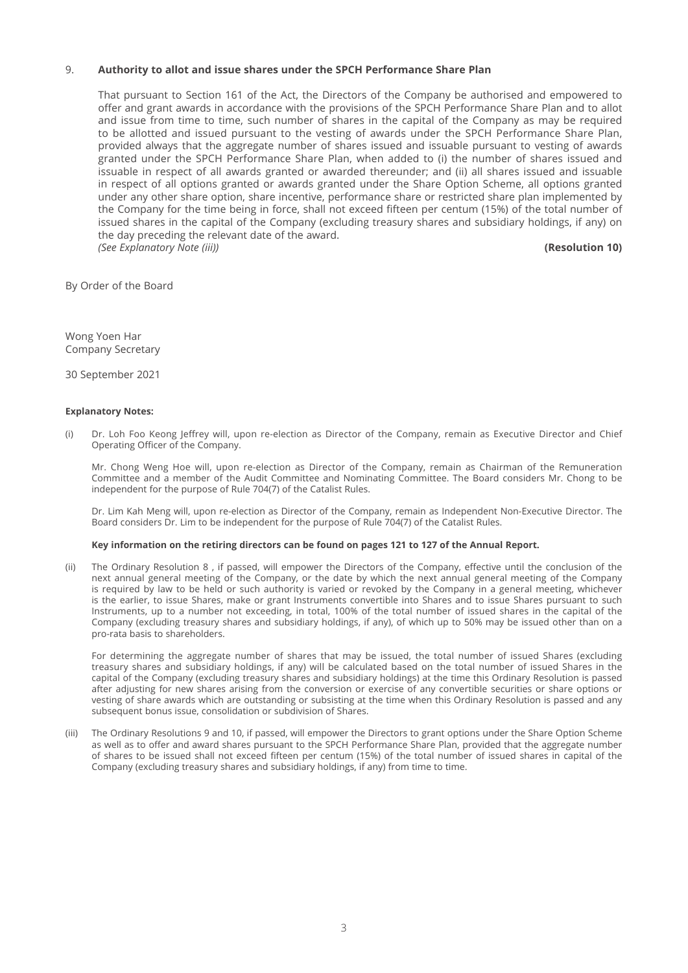## 9. **Authority to allot and issue shares under the SPCH Performance Share Plan**

 That pursuant to Section 161 of the Act, the Directors of the Company be authorised and empowered to offer and grant awards in accordance with the provisions of the SPCH Performance Share Plan and to allot and issue from time to time, such number of shares in the capital of the Company as may be required to be allotted and issued pursuant to the vesting of awards under the SPCH Performance Share Plan, provided always that the aggregate number of shares issued and issuable pursuant to vesting of awards granted under the SPCH Performance Share Plan, when added to (i) the number of shares issued and issuable in respect of all awards granted or awarded thereunder; and (ii) all shares issued and issuable in respect of all options granted or awards granted under the Share Option Scheme, all options granted under any other share option, share incentive, performance share or restricted share plan implemented by the Company for the time being in force, shall not exceed fifteen per centum (15%) of the total number of issued shares in the capital of the Company (excluding treasury shares and subsidiary holdings, if any) on the day preceding the relevant date of the award. *(See Explanatory Note (iii))* **(Resolution 10)**

By Order of the Board

Wong Yoen Har Company Secretary

30 September 2021

#### **Explanatory Notes:**

(i) Dr. Loh Foo Keong Jeffrey will, upon re-election as Director of the Company, remain as Executive Director and Chief Operating Officer of the Company.

 Mr. Chong Weng Hoe will, upon re-election as Director of the Company, remain as Chairman of the Remuneration Committee and a member of the Audit Committee and Nominating Committee. The Board considers Mr. Chong to be independent for the purpose of Rule 704(7) of the Catalist Rules.

 Dr. Lim Kah Meng will, upon re-election as Director of the Company, remain as Independent Non-Executive Director. The Board considers Dr. Lim to be independent for the purpose of Rule 704(7) of the Catalist Rules.

#### **Key information on the retiring directors can be found on pages 121 to 127 of the Annual Report.**

(ii) The Ordinary Resolution 8, if passed, will empower the Directors of the Company, effective until the conclusion of the next annual general meeting of the Company, or the date by which the next annual general meeting of the Company is required by law to be held or such authority is varied or revoked by the Company in a general meeting, whichever is the earlier, to issue Shares, make or grant Instruments convertible into Shares and to issue Shares pursuant to such Instruments, up to a number not exceeding, in total, 100% of the total number of issued shares in the capital of the Company (excluding treasury shares and subsidiary holdings, if any), of which up to 50% may be issued other than on a pro-rata basis to shareholders.

 For determining the aggregate number of shares that may be issued, the total number of issued Shares (excluding treasury shares and subsidiary holdings, if any) will be calculated based on the total number of issued Shares in the capital of the Company (excluding treasury shares and subsidiary holdings) at the time this Ordinary Resolution is passed after adjusting for new shares arising from the conversion or exercise of any convertible securities or share options or vesting of share awards which are outstanding or subsisting at the time when this Ordinary Resolution is passed and any subsequent bonus issue, consolidation or subdivision of Shares.

(iii) The Ordinary Resolutions 9 and 10, if passed, will empower the Directors to grant options under the Share Option Scheme as well as to offer and award shares pursuant to the SPCH Performance Share Plan, provided that the aggregate number of shares to be issued shall not exceed fifteen per centum (15%) of the total number of issued shares in capital of the Company (excluding treasury shares and subsidiary holdings, if any) from time to time.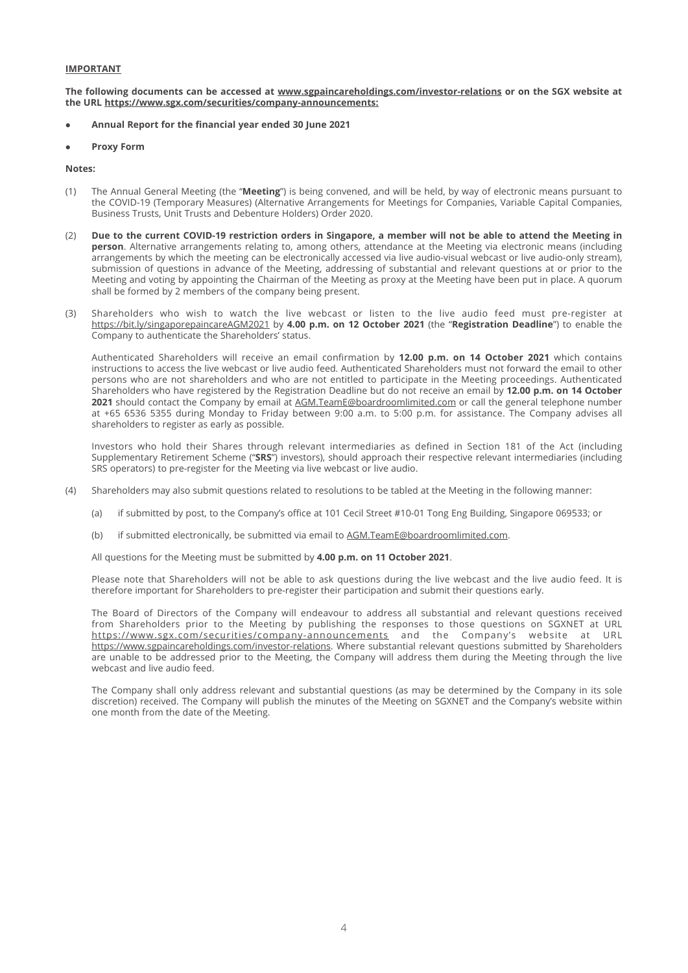## **IMPORTANT**

The following documents can be accessed at www.sgpaincareholdings.com/investor-relations or on the SGX website at **the URL https://www.sgx.com/securities/company-announcements:**

- Annual Report for the financial year ended 30 June 2021
- **Proxy Form**

#### **Notes:**

- (1) The Annual General Meeting (the "**Meeting**") is being convened, and will be held, by way of electronic means pursuant to the COVID-19 (Temporary Measures) (Alternative Arrangements for Meetings for Companies, Variable Capital Companies, Business Trusts, Unit Trusts and Debenture Holders) Order 2020.
- (2) **Due to the current COVID-19 restriction orders in Singapore, a member will not be able to attend the Meeting in person**. Alternative arrangements relating to, among others, attendance at the Meeting via electronic means (including arrangements by which the meeting can be electronically accessed via live audio-visual webcast or live audio-only stream), submission of questions in advance of the Meeting, addressing of substantial and relevant questions at or prior to the Meeting and voting by appointing the Chairman of the Meeting as proxy at the Meeting have been put in place. A quorum shall be formed by 2 members of the company being present.
- (3) Shareholders who wish to watch the live webcast or listen to the live audio feed must pre-register at https://bit.ly/singaporepaincareAGM2021 by **4.00 p.m. on 12 October 2021** (the "**Registration Deadline**") to enable the Company to authenticate the Shareholders' status.

Authenticated Shareholders will receive an email confirmation by 12.00 p.m. on 14 October 2021 which contains instructions to access the live webcast or live audio feed. Authenticated Shareholders must not forward the email to other persons who are not shareholders and who are not entitled to participate in the Meeting proceedings. Authenticated Shareholders who have registered by the Registration Deadline but do not receive an email by **12.00 p.m. on 14 October 2021** should contact the Company by email at AGM.TeamE@boardroomlimited.com or call the general telephone number at +65 6536 5355 during Monday to Friday between 9:00 a.m. to 5:00 p.m. for assistance. The Company advises all shareholders to register as early as possible.

 Investors who hold their Shares through relevant intermediaries as defined in Section 181 of the Act (including Supplementary Retirement Scheme ("**SRS**") investors), should approach their respective relevant intermediaries (including SRS operators) to pre-register for the Meeting via live webcast or live audio.

- (4) Shareholders may also submit questions related to resolutions to be tabled at the Meeting in the following manner:
	- (a) if submitted by post, to the Company's office at 101 Cecil Street #10-01 Tong Eng Building, Singapore 069533; or
	- (b) if submitted electronically, be submitted via email to AGM.TeamE@boardroomlimited.com.

All questions for the Meeting must be submitted by **4.00 p.m. on 11 October 2021**.

 Please note that Shareholders will not be able to ask questions during the live webcast and the live audio feed. It is therefore important for Shareholders to pre-register their participation and submit their questions early.

 The Board of Directors of the Company will endeavour to address all substantial and relevant questions received from Shareholders prior to the Meeting by publishing the responses to those questions on SGXNET at URL https://www.sgx.com/securities/company-announcements and the Company's website at URL https://www.sgpaincareholdings.com/investor-relations. Where substantial relevant questions submitted by Shareholders are unable to be addressed prior to the Meeting, the Company will address them during the Meeting through the live webcast and live audio feed.

 The Company shall only address relevant and substantial questions (as may be determined by the Company in its sole discretion) received. The Company will publish the minutes of the Meeting on SGXNET and the Company's website within one month from the date of the Meeting.